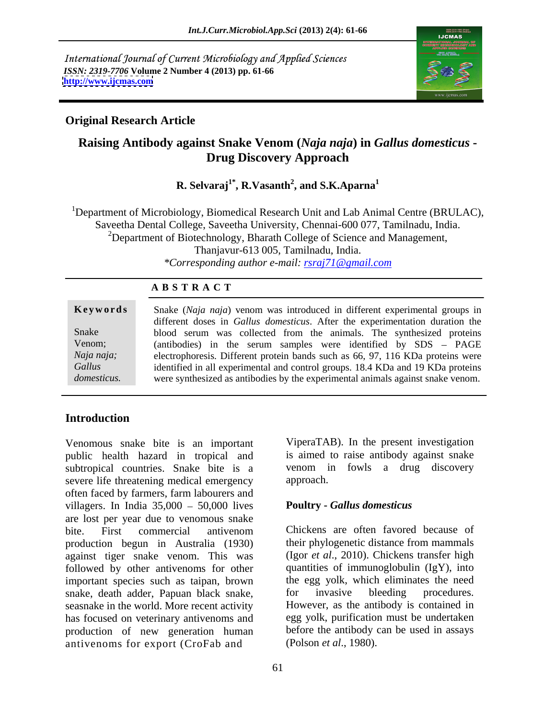International Journal of Current Microbiology and Applied Sciences *ISSN: 2319-7706* **Volume 2 Number 4 (2013) pp. 61-66 <http://www.ijcmas.com>**



### **Original Research Article**

# **Raising Antibody against Snake Venom (***Naja naja***) in** *Gallus domesticus* **- Drug Discovery Approach**

#### $\mathbf{R}.$  Selvaraj $^{1^*}, \mathbf{R}.$ Vasanth $^2,$  and S.K.Aparna $^{1}$ **, and S.K.Aparna<sup>1</sup>**

<sup>1</sup>Department of Microbiology, Biomedical Research Unit and Lab Animal Centre (BRULAC), Saveetha Dental College, Saveetha University, Chennai-600 077, Tamilnadu, India.<br><sup>2</sup>Department of Biotechnology, Bharath College of Science and Management, Thanjavur-613 005, Tamilnadu, India. *\*Corresponding author e-mail: rsraj71@gmail.com*

### **A B S T R A C T**

| Keywords    | Snake (Naja naja) venom was introduced in different experimental groups in           |
|-------------|--------------------------------------------------------------------------------------|
|             | different doses in <i>Gallus domesticus</i> . After the experimentation duration the |
| Snake       | blood serum was collected from the animals. The synthesized proteins                 |
| Venom;      | (antibodies) in the serum samples were identified by SDS – PAGE                      |
| Naja naja;  | electrophoresis. Different protein bands such as 66, 97, 116 KDa proteins were       |
| Gallus      | identified in all experimental and control groups. 18.4 KDa and 19 KDa proteins      |
| domesticus. | were synthesized as antibodies by the experimental animals against snake venom.      |

## **Introduction**

Venomous snake bite is an important public health hazard in tropical and subtropical countries. Snake bite is a severe life threatening medical emergency approach. often faced by farmers, farm labourers and villagers. In India  $35,000 - 50,000$  lives are lost per year due to venomous snake bite. First commercial antivenom Chickens are often favored because of production begun in Australia (1930) against tiger snake venom. This was followed by other antivenoms for other important species such as taipan, brown the egg yolk, which eliminates the need snake, death adder. Papuan black snake, for invasive bleeding procedures. snake, death adder, Papuan black snake, seasnake in the world. More recent activity has focused on veterinary antivenoms and production of new generation human antivenoms for export (CroFab and (Polson *et al.*, 1980).

ViperaTAB). In the present investigation is aimed to raise antibody against snake venom in fowls a drug discovery approach.

### **Poultry -** *Gallus domesticus*

Chickens are often favored because of their phylogenetic distance from mammals (Igor *et al*., 2010). Chickens transfer high quantities of immunoglobulin (IgY), into the egg yolk, which eliminates the need for invasive bleeding procedures. However, as the antibody is contained in egg yolk, purification must be undertaken before the antibody can be used in assays (Polson *et al*., 1980).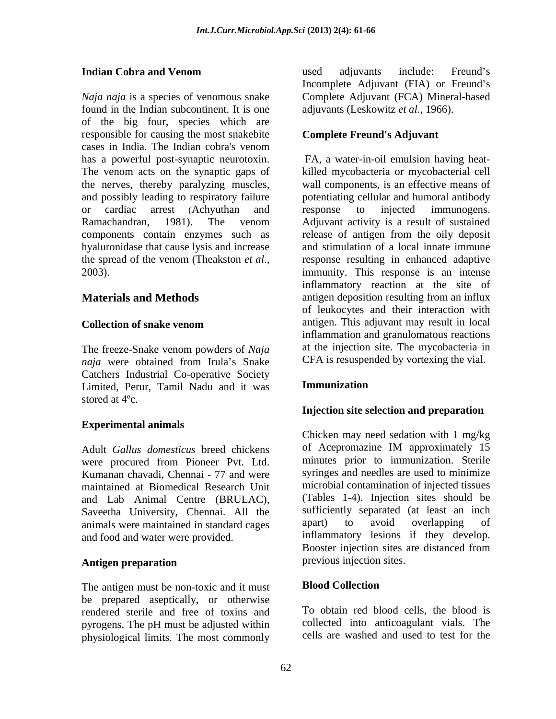*Naja naja* is a species of venomous snake Complete Adjuvant (FCA) Mineral-based found in the Indian subcontinent. It is one of the big four, species which are responsible for causing the most snakebite cases in India. The Indian cobra's venom has a powerful post-synaptic neurotoxin. The venom acts on the synaptic gaps of killed mycobacteria or mycobacterial cell the nerves, thereby paralyzing muscles, and possibly leading to respiratory failure or cardiac arrest (Achyuthan and response to injected immunogens. Ramachandran, 1981). The venom Adjuvant activity is a result of sustained components contain enzymes such as release of antigen from the oily deposit hyaluronidase that cause lysis and increase the spread of the venom (Theakston *et al*., 2003).

The freeze-Snake venom powders of *Naja naja* were obtained from Irula's Snake CFA is resuspended by vortexing the vial. Catchers Industrial Co-operative Society Limited, Perur, Tamil Nadu and it was stored at 4ºc.

### **Experimental animals**

were procured from Pioneer Pvt. Ltd. Kumanan chavadi, Chennai - 77 and were maintained at Biomedical Research Unit and Lab Animal Centre (BRULAC), Saveetha University, Chennai. All the sufficiently separated (at least an inch<br>animals were maintained in standard cages apart) to avoid overlapping of animals were maintained in standard cages and food and water were provided.

The antigen must be non-toxic and it must **Blood Collection** be prepared aseptically, or otherwise rendered sterile and free of toxins and pyrogens. The pH must be adjusted within physiological limits. The most commonly

**Indian Cobra and Venom and Series and Series and Series and Series and Series and Series and Series and Series and Series and Series and Series and Series and Series and Series and Series and Series and Series and Serie** used adjuvants include: Freund's Incomplete Adjuvant (FIA) or Freund's adjuvants (Leskowitz *et al*., 1966).

### **Complete Freund's Adjuvant**

**Materials and Methods Collection of snake venom** antigen. This adjuvant may result in local FA, a water-in-oil emulsion having heat wall components, is an effective means of potentiating cellular and humoral antibody response to injected immunogens. Adjuvant activity is a result of sustained and stimulation of a local innate immune response resulting in enhanced adaptive immunity. This response is an intense inflammatory reaction at the site of antigen deposition resulting from an influx of leukocytes and their interaction with antigen. This adjuvant may result in local inflammation and granulomatous reactions at the injection site. The mycobacteria in CFA is resuspended by vortexing the vial.

### **Immunization**

### **Injection site selection and preparation**

Adult *Gallus domesticus* breed chickens Antigen preparation **and the set of the set of the set of the set of the set of the set of the set of the set of the set of the set of the set of the set of the set of the set of the set of the set of the set of the set of** Chicken may need sedation with 1 mg/kg of Acepromazine IM approximately 15 minutes prior to immunization. Sterile syringes and needles are used to minimize microbial contamination of injected tissues (Tables 1-4). Injection sites should be sufficiently separated (at least an inch apart) to avoid overlapping of inflammatory lesions if they develop. Booster injection sites are distanced from previous injection sites.

### **Blood Collection**

To obtain red blood cells, the blood is collected into anticoagulant vials. The cells are washed and used to test for the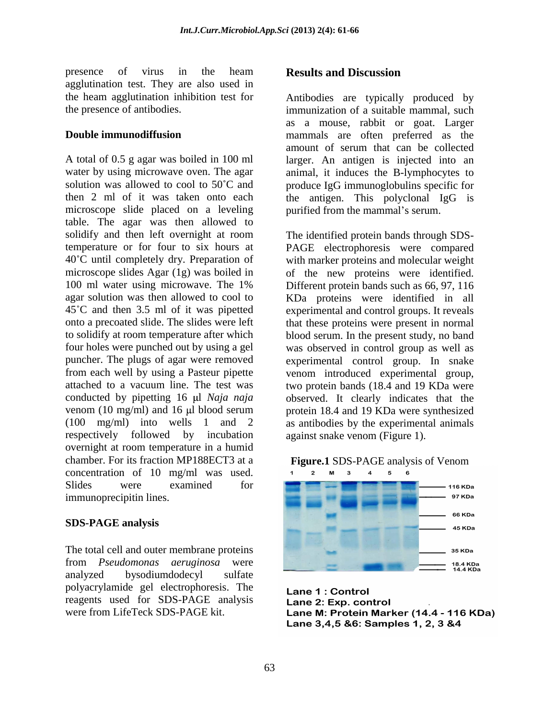presence of virus in the heam **Results and Discussion** agglutination test. They are also used in the heam agglutination inhibition test for Antibodies are typically produced by

A total of 0.5 g agar was boiled in 100 ml water by using microwave oven. The agar animal, it induces the B-lymphocytes to solution was allowed to cool to 50°C and produce IgG immunoglobulins specific for then 2 ml of it was taken onto each the antigen. This polyclonal IgG is microscope slide placed on a leveling purified from the mammal's serum. table. The agar was then allowed to solidify and then left overnight at room The identified protein bands through SDStemperature or for four to six hours at PAGE electrophoresis were compared 40 C until completely dry. Preparation of with marker proteins and molecular weight microscope slides Agar (1g) was boiled in of the new proteins were identified. 100 ml water using microwave. The 1% Different protein bands such as 66, 97, 116 agar solution was then allowed to cool to KDa proteins were identified in all 45 C and then 3.5 ml of it was pipetted experimental and control groups. It reveals onto a precoated slide. The slides were left that these proteins were present in normal to solidify at room temperature after which blood serum. In the present study, no band four holes were punched out by using a gel was observed in control group as well as puncher. The plugs of agar were removed experimental control group. In snake from each well by using a Pasteur pipette venom introduced experimental group, attached to a vacuum line. The test was two protein bands (18.4 and 19 KDa were conducted by pipetting 16 µl *Naja naja* observed. It clearly indicates that the venom (10 mg/ml) and 16 µl blood serum protein 18.4 and 19 KDa were synthesized (100 mg/ml) into wells 1 and 2 as antibodies by the experimental animals respectively followed by incubation overnight at room temperature in a humid concentration of 10 mg/ml was used.  $12 \times 12 \times 12 = 4.5$ presence of twist in the beam magnitude of the state of the state of the state in the state of the state in the state in the state in the state in the state of the state in the state of the state in the state of the state

analyzed bysodiumdodecyl sulfate polyacrylamide gel electrophoresis. The reagents used for SDS-PAGE analysis **Lane 2: Exp. control** 

the presence of antibodies. immunization of a suitable mammal, such **Double immunodiffusion** mammals are often preferred as the as a mouse, rabbit or goat. Larger amount of serum that can be collected larger. An antigen is injected into an purified from the mammal's serum.

> The identified protein bands through SDS- Different protein bands such as 66, 97, 116 against snake venom (Figure 1).



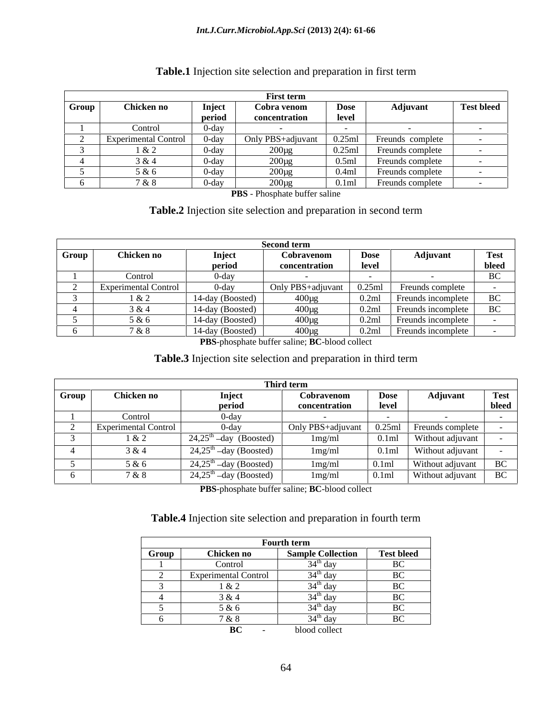|       |                      |                                      | First term        |           |                    |                   |
|-------|----------------------|--------------------------------------|-------------------|-----------|--------------------|-------------------|
| Group | Chicken no           | Inject                               | Cobra venon.      | Dose      | <b>Adjuvant</b>    | <b>Test bleed</b> |
|       |                      | period                               | concentration     | level     |                    |                   |
|       | Contro               | $0$ -day                             |                   |           |                    |                   |
|       | Experimental Control |                                      | Only PBS+adiuvant | 0.25ml    | - Freunds complete |                   |
|       | 1 & 2                | $0$ -day                             | 200πσ             | $0.25$ ml |                    |                   |
|       | 3 & 4                | $0$ -day                             | 200ug             | 0.5ml     | Freunds complete   |                   |
|       | 5 & 6                | $0$ -day                             | $200 \mu g$       | 0.4ml     | Freunds complete   |                   |
|       | 7 & 8                | $\overline{\phantom{a}}$<br>$0$ -day | 200ப⊽             | 0.1ml     | Freunds complete   |                   |

### **Table.1** Injection site selection and preparation in first term

**PBS** - Phosphate buffer saline

## **Table.2** Injection site selection and preparation in second term

|       |                             |                  | Second term          |             |                    |       |
|-------|-----------------------------|------------------|----------------------|-------------|--------------------|-------|
| Group | Chicken no                  | Inject           | <b>dispension</b> or | <b>Dose</b> | Adjuvant           | Test  |
|       |                             | period           | concentration        | level       |                    | bleed |
|       | Control                     | u-dav            |                      |             |                    |       |
|       | <b>Experimental Control</b> |                  | Only PBS+adjuvant    | 0.25ml      | reunds complete    |       |
|       | 1 & 2                       | 14-day (Boosted) | 400 no               |             |                    |       |
|       | 3 & 4                       | 14-day (Boosted) | 400ug                | 0.2ml       | Freunds incomplete |       |
|       | 5 & 6                       | 14-day (Boosted) | $400\mu$             | 0.2ml       | Freunds incomplete |       |
|       | 7 & 8                       | 14-day (Boosted) | 400பջ                | 0.2ml       | Freunds incomplete |       |

**PBS**-phosphate buffer saline; **BC**-blood collect

#### **Table.3** Injection site selection and preparation in third term

|       |                      |                                     | Third term                                |             |                                                                                                |             |
|-------|----------------------|-------------------------------------|-------------------------------------------|-------------|------------------------------------------------------------------------------------------------|-------------|
| Group | Chicken no           | Inject                              | Cobravenom                                | <b>Dose</b> | Adjuvant                                                                                       | <b>Test</b> |
|       |                      | period                              | concentration                             | level       |                                                                                                | bleed       |
|       | Control              |                                     |                                           |             |                                                                                                |             |
|       | Experimental Control | $0$ -dav                            | Only PBS+adjuvant 0.25ml Freunds complete |             |                                                                                                |             |
|       | 1 & 2                | $24,25^{\text{th}}$ -day (Boosted)  | 1mg/ml                                    |             | 0.1ml Without adjuvant                                                                         |             |
|       | 3 & 4                | $24,25^{\text{th}}$ -day (Boosted)  | 1mg/ml                                    |             | $\begin{array}{ c c c c c } \hline 0.1 \text{ml} & \text{Without adjuvant} \hline \end{array}$ |             |
|       | 5 & 6                | $24,25^{\text{th}}$ –day (Boosted)  | 1mg/ml                                    | 0.1ml       | Without adjuvant                                                                               |             |
|       | 7 & 8                | $24,25^{\mathrm{m}}$ –day (Boosted) | 1mg/ml                                    | 0.1ml       | Without adjuvant BC                                                                            |             |

**PBS**-phosphate buffer saline; **BC**-blood collect

#### **Table.4** Injection site selection and preparation in fourth term

|       |                       | <b>Fourth term</b>                                |                                    |
|-------|-----------------------|---------------------------------------------------|------------------------------------|
| Group | Chicken no            | <b>Sample Collection</b>                          | <b>Test bleed</b>                  |
|       | Control               | 54 <sup>er</sup> dav                              | $\mathbf{D}$ $\mathbf{C}$<br>DU    |
|       | Exper.                | dat                                               | $D^{\alpha}$<br>DC                 |
|       | $1 \Omega$ $2 \Omega$ | $34^{\mathrm{m}}$ day<br>$\overline{\phantom{a}}$ | $D^{\alpha}$<br>n                  |
|       | 3 & 4                 | 34 <sup>th</sup> day                              | $D^{\alpha}$<br>DU                 |
|       | 5 & 6                 |                                                   | $D^{\alpha}$<br>DΛ                 |
|       | 7 & 8                 | $24^{\text{th}}$ day                              | $\mathbf{D}$ $\mathbf{C}$<br>- DU. |
|       | $\mathbf{D}$          | blood colloot                                     |                                    |

**BC** - blood collect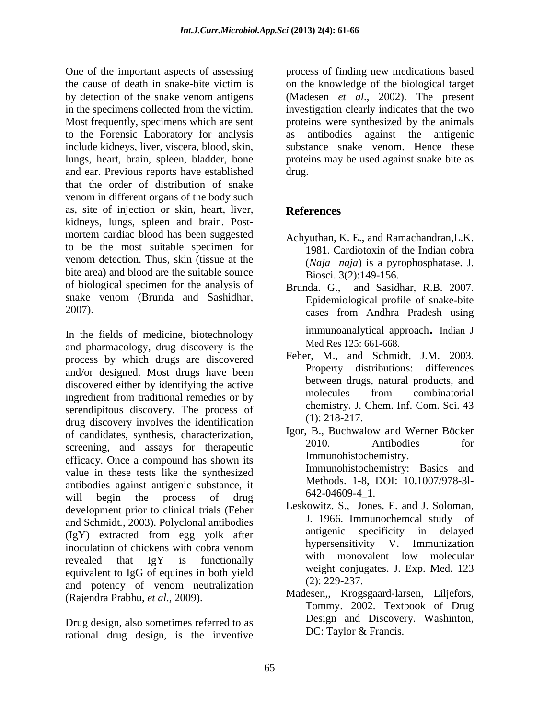One of the important aspects of assessing process of finding new medications based the cause of death in snake-bite victim is on the knowledge of the biological target by detection of the snake venom antigens (Madesen *et al.*, 2002). The present in the specimens collected from the victim. investigation clearly indicates that the two Most frequently, specimens which are sent proteins were synthesized by the animals to the Forensic Laboratory for analysis include kidneys, liver, viscera, blood, skin, lungs, heart, brain, spleen, bladder, bone proteins may be used against snake bite as and ear. Previous reports have established that the order of distribution of snake venom in different organs of the body such as, site of injection or skin, heart, liver, kidneys, lungs, spleen and brain. Post mortem cardiac blood has been suggested to be the most suitable specimen for venom detection. Thus, skin (tissue at the bite area) and blood are the suitable source of biological specimen for the analysis of Brunda. G. snake venom (Brunda and Sashidhar,

and pharmacology, drug discovery is the process by which drugs are discovered<br>property distributions: differences<br>property distributions: differences and/or designed. Most drugs have been discovered either by identifying the active<br>incrediction by the model model of the discovered either them traditional remediation of the model model of the<br>model model of the combinatorial ingredient from traditional remedies or by serendipitous discovery. The process of chemistry. J.<br>drug discovery involves the identification (1): 218-217. drug discovery involves the identification of candidates, synthesis, characterization, lgor, B., Buchwalow and Werner Bocker<br>2010 Antibodies for screening, and assays for therapeutic efficacy. Once a compound has shown its value in these tests like the synthesized antibodies against antigenic substance, it will begin the process of drug  $042-04009-41$ . development prior to clinical trials (Feher Leskowitz, S., Jones, E. and J. Soloman,<br>and Sehmidt, 2002) Belvelopel entibelies J. 1966. Immunochemeal study of and Schmidt, 2003). Polyclonal antibodies<br>(I<sub>a</sub>V) extracted from ang volk ofter antigenic specificity in delayed (IgY) extracted from egg yolk after inoculation of chickens with cobra venom hypersensitivity v. Immunization revealed that IgY is functionally with monovalent low molecular equivalent to IgG of equines in both yield<br>
end notangy of years november and 2: 229-237. and potency of venom neutralization

rational drug design, is the inventive

antibodies against the antigenic substance snake venom. Hence these drug.

# **References**

- Achyuthan, K. E., and Ramachandran,L.K. 1981. Cardiotoxin of the Indian cobra (*Naja naja*) is a pyrophosphatase. J. Biosci. 3(2):149-156.
- 2007). cases from Andhra Pradesh using In the fields of medicine, biotechnology immunoanalytical approach. Indian J and Sasidhar, R.B. 2007. Epidemiological profile of snake-bite cases from Andhra Pradesh using immunoanalytical approach. Indian <sup>J</sup> Med Res 125: 661-668.
	- Feher, M., and Schmidt, J.M. 2003. Property distributions: between drugs, natural products, and molecules from combinatorial chemistry. J. Chem. Inf. Com. Sci. 43 (1): 218-217.
	- Igor, B., Buchwalow and Werner Böcker 2010. Antibodies for Immunohistochemistry. Immunohistochemistry: Basics and Methods. 1-8, DOI: 10.1007/978-3l- 642-04609-4\_1.
	- Leskowitz. S., Jones. E. and J. Soloman, J. 1966. Immunochemcal study antigenic specificity in delayed hypersensitivity V. Immunization with monovalent low molecular weight conjugates. J. Exp. Med. 123 (2): 229-237.
- (Rajendra Prabhu, *et al.*, 2009).<br>
Tommy. 2002. Textbook of Drug<br>
Drug design, also sometimes referred to as Design and Discovery. Washinton, Madesen,, Krogsgaard-larsen, Liljefors, Tommy. 2002. Textbook of Drug Design and Discovery. Washinton, DC: Taylor & Francis.